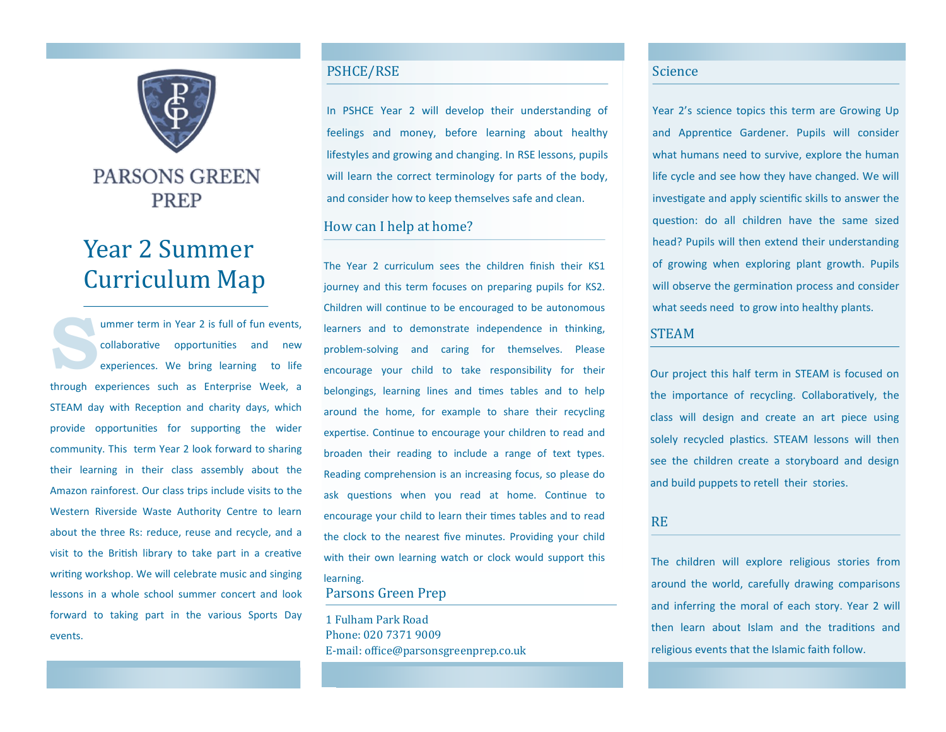

# **PARSONS GREEN PREP**

# Year 2 Summer Curriculum Map

**S** ummer term in Year 2 is full of fun events, collaborative opportunities and new experiences. We bring learning to life through experiences such as Enterprise Week, a STEAM day with Reception and charity days, which provide opportunities for supporting the wider community. This term Year 2 look forward to sharing their learning in their class assembly about the Amazon rainforest. Our class trips include visits to the Western Riverside Waste Authority Centre to learn about the three Rs: reduce, reuse and recycle, and a visit to the British library to take part in a creative writing workshop. We will celebrate music and singing lessons in a whole school summer concert and look forward to taking part in the various Sports Day events.

# PSHCE/RSE

In PSHCE Year 2 will develop their understanding of feelings and money, before learning about healthy lifestyles and growing and changing. In RSE lessons, pupils will learn the correct terminology for parts of the body, and consider how to keep themselves safe and clean.

# How can I help at home?

The Year 2 curriculum sees the children finish their KS1 journey and this term focuses on preparing pupils for KS2. Children will continue to be encouraged to be autonomous learners and to demonstrate independence in thinking, problem-solving and caring for themselves. Please encourage your child to take responsibility for their belongings, learning lines and times tables and to help around the home, for example to share their recycling expertise. Continue to encourage your children to read and broaden their reading to include a range of text types. Reading comprehension is an increasing focus, so please do ask questions when you read at home. Continue to encourage your child to learn their times tables and to read the clock to the nearest five minutes. Providing your child with their own learning watch or clock would support this learning.

#### Parsons Green Prep

1 Fulham Park Road Phone: 020 7371 9009 E-mail: office@parsonsgreenprep.co.uk

#### Science

Year 2's science topics this term are Growing Up and Apprentice Gardener. Pupils will consider what humans need to survive, explore the human life cycle and see how they have changed. We will investigate and apply scientific skills to answer the question: do all children have the same sized head? Pupils will then extend their understanding of growing when exploring plant growth. Pupils will observe the germination process and consider what seeds need to grow into healthy plants.

#### STEAM

Our project this half term in STEAM is focused on the importance of recycling. Collaboratively, the class will design and create an art piece using solely recycled plastics. STEAM lessons will then see the children create a storyboard and design and build puppets to retell their stories.

## RE

The children will explore religious stories from around the world, carefully drawing comparisons and inferring the moral of each story. Year 2 will then learn about Islam and the traditions and religious events that the Islamic faith follow.